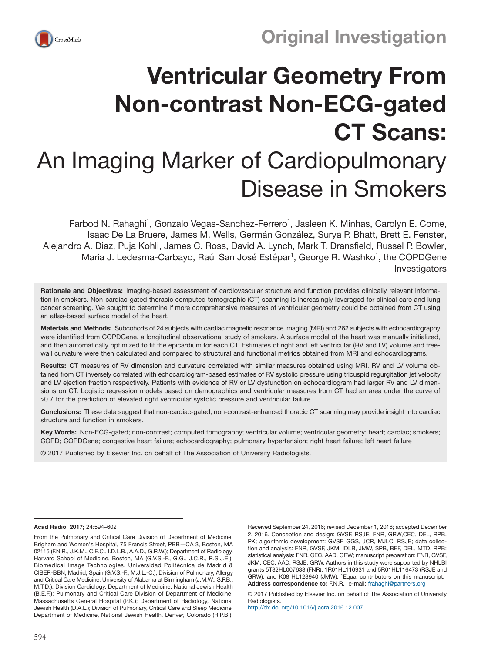



# Ventricular Geometry From Non-contrast Non-ECG-gated CT Scans: An Imaging Marker of Cardiopulmonary Disease in Smokers

Farbod N. Rahaghi<sup>1</sup>, Gonzalo Vegas-Sanchez-Ferrero<sup>1</sup>, Jasleen K. Minhas, Carolyn E. Come, Isaac De La Bruere, James M. Wells, Germán González, Surya P. Bhatt, Brett E. Fenster, Alejandro A. Diaz, Puja Kohli, James C. Ross, David A. Lynch, Mark T. Dransfield, Russel P. Bowler, Maria J. Ledesma-Carbayo, Raúl San José Estépar<sup>1</sup>, George R. Washko<sup>1</sup>, the COPDGene Investigators

Rationale and Objectives: Imaging-based assessment of cardiovascular structure and function provides clinically relevant information in smokers. Non-cardiac-gated thoracic computed tomographic (CT) scanning is increasingly leveraged for clinical care and lung cancer screening. We sought to determine if more comprehensive measures of ventricular geometry could be obtained from CT using an atlas-based surface model of the heart.

Materials and Methods: Subcohorts of 24 subjects with cardiac magnetic resonance imaging (MRI) and 262 subjects with echocardiography were identified from COPDGene, a longitudinal observational study of smokers. A surface model of the heart was manually initialized, and then automatically optimized to fit the epicardium for each CT. Estimates of right and left ventricular (RV and LV) volume and freewall curvature were then calculated and compared to structural and functional metrics obtained from MRI and echocardiograms.

Results: CT measures of RV dimension and curvature correlated with similar measures obtained using MRI. RV and LV volume obtained from CT inversely correlated with echocardiogram-based estimates of RV systolic pressure using tricuspid regurgitation jet velocity and LV ejection fraction respectively. Patients with evidence of RV or LV dysfunction on echocardiogram had larger RV and LV dimensions on CT. Logistic regression models based on demographics and ventricular measures from CT had an area under the curve of >0.7 for the prediction of elevated right ventricular systolic pressure and ventricular failure.

Conclusions: These data suggest that non-cardiac-gated, non-contrast-enhanced thoracic CT scanning may provide insight into cardiac structure and function in smokers.

Key Words: Non-ECG-gated; non-contrast; computed tomography; ventricular volume; ventricular geometry; heart; cardiac; smokers; COPD; COPDGene; congestive heart failure; echocardiography; pulmonary hypertension; right heart failure; left heart failure

© 2017 Published by Elsevier Inc. on behalf of The Association of University Radiologists.

Acad Radiol 2017; 24:594–602

From the Pulmonary and Critical Care Division of Department of Medicine, Brigham and Women's Hospital, 75 Francis Street, PBB—CA 3, Boston, MA 02115 (F.N.R., J.K.M., C.E.C., I.D.L.B., A.A.D., G.R.W.); Department of Radiology, Harvard School of Medicine, Boston, MA (G.V.S.-F., G.G., J.C.R., R.S.J.E.); Biomedical Image Technologies, Universidad Politécnica de Madrid & CIBER-BBN, Madrid, Spain (G.V.S.-F., M.J.L.-C.); Division of Pulmonary, Allergy and Critical Care Medicine, University of Alabama at Birmingham (J.M.W., S.P.B., M.T.D.); Division Cardiology, Department of Medicine, National Jewish Health (B.E.F.); Pulmonary and Critical Care Division of Department of Medicine, Massachusetts General Hospital (P.K.); Department of Radiology, National Jewish Health (D.A.L.); Division of Pulmonary, Critical Care and Sleep Medicine, Department of Medicine, National Jewish Health, Denver, Colorado (R.P.B.).

Received September 24, 2016; revised December 1, 2016; accepted December 2, 2016. Conception and design: GVSF, RSJE, FNR, GRW,CEC, DEL, RPB, PK; algorithmic development: GVSF, GGS, JCR, MJLC, RSJE; data collection and analysis: FNR, GVSF, JKM, IDLB, JMW, SPB, BEF, DEL, MTD, RPB; statistical analysis: FNR, CEC, AAD, GRW; manuscript preparation: FNR, GVSF, JKM, CEC, AAD, RSJE, GRW. Authors in this study were supported by NHLBI grants 5T32HL007633 (FNR), 1R01HL116931 and 5R01HL116473 (RSJE and GRW), and K08 HL123940 (JMW). 1Equal contributors on this manuscript. Address correspondence to: F.N.R. e-mail: [frahaghi@partners.org](mailto:frahaghi@partners.org)

© 2017 Published by Elsevier Inc. on behalf of The Association of University Radiologists.

http://dx.doi.org/10.1016/j.acra.2016.12.007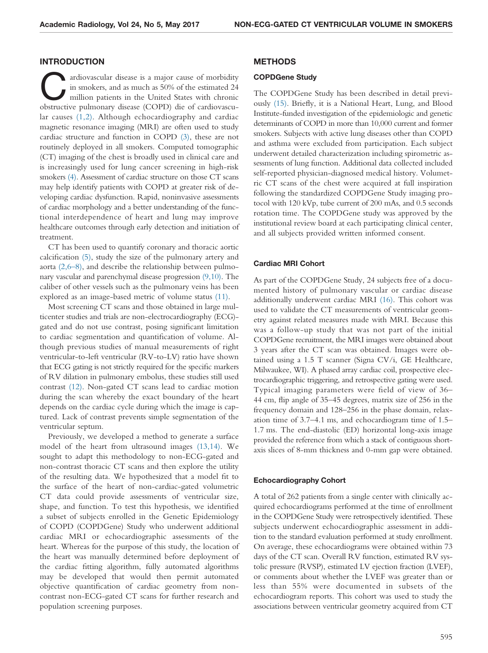## INTRODUCTION

ardiovascular disease is a major cause of morbidity<br>in smokers, and as much as 50% of the estimated 24<br>million patients in the United States with chronic<br>obstructive pulmonary disease (COPD) die of cardiovascuin smokers, and as much as 50% of the estimated 24 obstructive pulmonary disease (COPD) die of cardiovascular causes (1,2). Although echocardiography and cardiac magnetic resonance imaging (MRI) are often used to study cardiac structure and function in COPD (3), these are not routinely deployed in all smokers. Computed tomographic (CT) imaging of the chest is broadly used in clinical care and is increasingly used for lung cancer screening in high-risk smokers (4). Assessment of cardiac structure on those CT scans may help identify patients with COPD at greater risk of developing cardiac dysfunction. Rapid, noninvasive assessments of cardiac morphology and a better understanding of the functional interdependence of heart and lung may improve healthcare outcomes through early detection and initiation of treatment.

CT has been used to quantify coronary and thoracic aortic calcification (5), study the size of the pulmonary artery and aorta (2,6–8), and describe the relationship between pulmonary vascular and parenchymal disease progression (9,10). The caliber of other vessels such as the pulmonary veins has been explored as an image-based metric of volume status (11).

Most screening CT scans and those obtained in large multicenter studies and trials are non-electrocardiography (ECG) gated and do not use contrast, posing significant limitation to cardiac segmentation and quantification of volume. Although previous studies of manual measurements of right ventricular-to-left ventricular (RV-to-LV) ratio have shown that ECG gating is not strictly required for the specific markers of RV dilation in pulmonary embolus, these studies still used contrast (12). Non-gated CT scans lead to cardiac motion during the scan whereby the exact boundary of the heart depends on the cardiac cycle during which the image is captured. Lack of contrast prevents simple segmentation of the ventricular septum.

Previously, we developed a method to generate a surface model of the heart from ultrasound images (13,14). We sought to adapt this methodology to non-ECG-gated and non-contrast thoracic CT scans and then explore the utility of the resulting data. We hypothesized that a model fit to the surface of the heart of non-cardiac-gated volumetric CT data could provide assessments of ventricular size, shape, and function. To test this hypothesis, we identified a subset of subjects enrolled in the Genetic Epidemiology of COPD (COPDGene) Study who underwent additional cardiac MRI or echocardiographic assessments of the heart. Whereas for the purpose of this study, the location of the heart was manually determined before deployment of the cardiac fitting algorithm, fully automated algorithms may be developed that would then permit automated objective quantification of cardiac geometry from noncontrast non-ECG-gated CT scans for further research and population screening purposes.

#### METHODS

#### COPDGene Study

The COPDGene Study has been described in detail previously (15). Briefly, it is a National Heart, Lung, and Blood Institute-funded investigation of the epidemiologic and genetic determinants of COPD in more than 10,000 current and former smokers. Subjects with active lung diseases other than COPD and asthma were excluded from participation. Each subject underwent detailed characterization including spirometric assessments of lung function. Additional data collected included self-reported physician-diagnosed medical history. Volumetric CT scans of the chest were acquired at full inspiration following the standardized COPDGene Study imaging protocol with 120 kVp, tube current of 200 mAs, and 0.5 seconds rotation time. The COPDGene study was approved by the institutional review board at each participating clinical center, and all subjects provided written informed consent.

#### Cardiac MRI Cohort

As part of the COPDGene Study, 24 subjects free of a documented history of pulmonary vascular or cardiac disease additionally underwent cardiac MRI (16). This cohort was used to validate the CT measurements of ventricular geometry against related measures made with MRI. Because this was a follow-up study that was not part of the initial COPDGene recruitment, the MRI images were obtained about 3 years after the CT scan was obtained. Images were obtained using a 1.5 T scanner (Signa CV/i, GE Healthcare, Milwaukee, WI). A phased array cardiac coil, prospective electrocardiographic triggering, and retrospective gating were used. Typical imaging parameters were field of view of 36– 44 cm, flip angle of 35–45 degrees, matrix size of 256 in the frequency domain and 128–256 in the phase domain, relaxation time of 3.7–4.1 ms, and echocardiogram time of 1.5– 1.7 ms. The end-diastolic (ED) horizontal long-axis image provided the reference from which a stack of contiguous shortaxis slices of 8-mm thickness and 0-mm gap were obtained.

#### Echocardiography Cohort

A total of 262 patients from a single center with clinically acquired echocardiograms performed at the time of enrollment in the COPDGene Study were retrospectively identified. These subjects underwent echocardiographic assessment in addition to the standard evaluation performed at study enrollment. On average, these echocardiograms were obtained within 73 days of the CT scan. Overall RV function, estimated RV systolic pressure (RVSP), estimated LV ejection fraction (LVEF), or comments about whether the LVEF was greater than or less than 55% were documented in subsets of the echocardiogram reports. This cohort was used to study the associations between ventricular geometry acquired from CT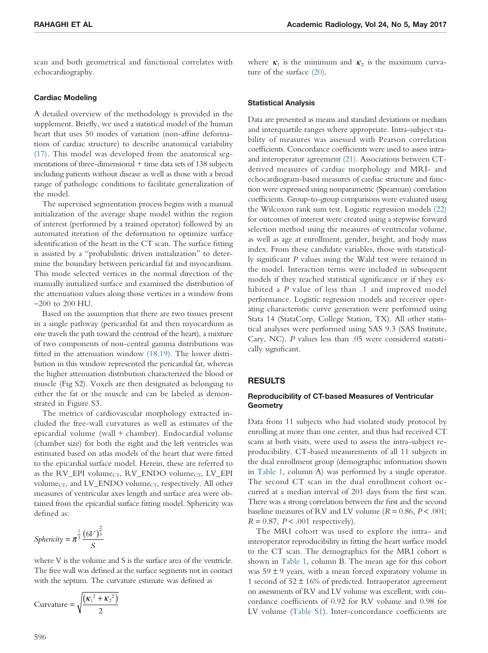scan and both geometrical and functional correlates with echocardiography.

#### Cardiac Modeling

A detailed overview of the methodology is provided in the supplement. Briefly, we used a statistical model of the human heart that uses 50 modes of variation (non-affine deformations of cardiac structure) to describe anatomical variability (17). This model was developed from the anatomical segmentations of three-dimensional + time data sets of 138 subjects including patients without disease as well as those with a broad range of pathologic conditions to facilitate generalization of the model.

The supervised segmentation process begins with a manual initialization of the average shape model within the region of interest (performed by a trained operator) followed by an automated iteration of the deformation to optimize surface identification of the heart in the CT scan. The surface fitting is assisted by a "probabilistic driven initialization" to determine the boundary between pericardial fat and myocardium. This mode selected vertices in the normal direction of the manually initialized surface and examined the distribution of the attenuation values along those vertices in a window from −200 to 200 HU.

Based on the assumption that there are two tissues present in a single pathway (pericardial fat and then myocardium as one travels the path toward the centroid of the heart), a mixture of two components of non-central gamma distributions was fitted in the attenuation window (18,19). The lower distribution in this window represented the pericardial fat, whereas the higher attenuation distribution characterized the blood or muscle (Fig S2). Voxels are then designated as belonging to either the fat or the muscle and can be labeled as demonstrated in Figure S3.

The metrics of cardiovascular morphology extracted included the free-wall curvatures as well as estimates of the epicardial volume (wall + chamber). Endocardial volume (chamber size) for both the right and the left ventricles was estimated based on atlas models of the heart that were fitted to the epicardial surface model. Herein, these are referred to as the RV\_EPI volume<sub>CT</sub>, RV\_ENDO volume<sub>CT</sub>, LV\_EPI volume<sub>CT</sub>, and LV\_ENDO volume<sub>CT</sub>, respectively. All other measures of ventricular axes length and surface area were obtained from the epicardial surface fitting model. Sphericity was defined as:

$$
Sphericity = \pi^{\frac{1}{3}} \frac{(6V)^{\frac{2}{3}}}{S}
$$

where V is the volume and S is the surface area of the ventricle. The free wall was defined as the surface segments not in contact with the septum. The curvature estimate was defined as

$$
\text{Curvature} = \sqrt{\frac{\left(\kappa_1^2 + \kappa_2^2\right)}{2}}
$$

where  $\kappa_1$  is the minimum and  $\kappa_2$  is the maximum curvature of the surface (20).

#### Statistical Analysis

Data are presented as means and standard deviations or medians and interquartile ranges where appropriate. Intra-subject stability of measures was assessed with Pearson correlation coefficients. Concordance coefficients were used to assess intraand interoperator agreement (21). Associations between CTderived measures of cardiac morphology and MRI- and echocardiogram-based measures of cardiac structure and function were expressed using nonparametric (Spearman) correlation coefficients. Group-to-group comparisons were evaluated using the Wilcoxon rank sum test. Logistic regression models (22) for outcomes of interest were created using a stepwise forward selection method using the measures of ventricular volume, as well as age at enrollment, gender, height, and body mass index. From these candidate variables, those with statistically significant *P* values using the Wald test were retained in the model. Interaction terms were included in subsequent models if they reached statistical significance or if they exhibited a *P* value of less than .1 and improved model performance. Logistic regression models and receiver operating characteristic curve generation were performed using Stata 14 (StataCorp, College Station, TX). All other statistical analyses were performed using SAS 9.3 (SAS Institute, Cary, NC). *P* values less than .05 were considered statistically significant.

## RESULTS

### Reproducibility of CT-based Measures of Ventricular **Geometry**

Data from 11 subjects who had violated study protocol by enrolling at more than one center, and thus had received CT scans at both visits, were used to assess the intra-subject reproducibility. CT-based measurements of all 11 subjects in the dual enrollment group (demographic information shown in Table 1, column A) was performed by a single operator. The second CT scan in the dual enrollment cohort occurred at a median interval of 201 days from the first scan. There was a strong correlation between the first and the second baseline measures of RV and LV volume  $(R = 0.86, P < .001;$  $R = 0.87$ ,  $P < .001$  respectively).

The MRI cohort was used to explore the intra- and interoperator reproducibility in fitting the heart surface model to the CT scan. The demographics for the MRI cohort is shown in Table 1, column B. The mean age for this cohort was  $59 \pm 9$  years, with a mean forced expiratory volume in 1 second of  $52 \pm 16\%$  of predicted. Intraoperator agreement on assessments of RV and LV volume was excellent, with concordance coefficients of 0.92 for RV volume and 0.98 for LV volume (Table S1). Inter-concordance coefficients are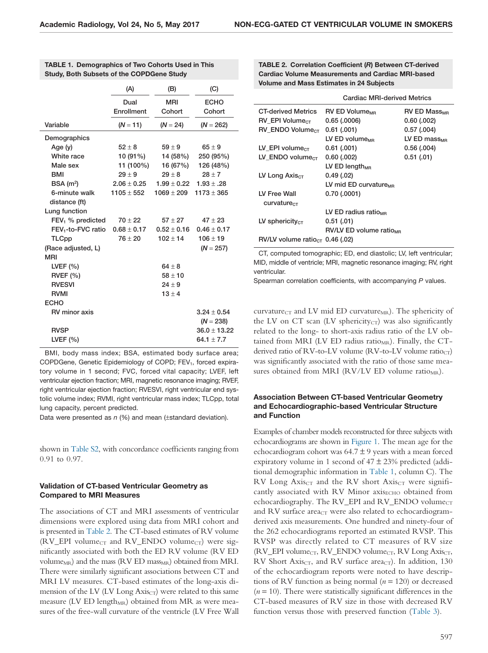|                                | (A)             | (B)             | (C)              |
|--------------------------------|-----------------|-----------------|------------------|
|                                | Dual            | <b>MRI</b>      | <b>ECHO</b>      |
|                                | Enrollment      | Cohort          | Cohort           |
| Variable                       | $(N = 11)$      | $(N = 24)$      | $(N = 262)$      |
| Demographics                   |                 |                 |                  |
| Age (y)                        | $52 \pm 8$      | $59 \pm 9$      | $65 \pm 9$       |
| White race                     | 10(91%)         | 14 (58%)        | 250 (95%)        |
| Male sex                       | 11 (100%)       | 16 (67%)        | 126 (48%)        |
| <b>BMI</b>                     | $29 \pm 9$      | $29 \pm 8$      | $28 + 7$         |
| BSA(m <sup>2</sup> )           | $2.06 \pm 0.25$ | $1.99 \pm 0.22$ | $1.93 \pm .28$   |
| 6-minute walk                  | $1105 \pm 552$  | $1069 \pm 209$  | $1173 \pm 365$   |
| distance (ft)                  |                 |                 |                  |
| Lung function                  |                 |                 |                  |
| $FEV1$ % predicted             | $70 \pm 22$     | $57 + 27$       | $47 \pm 23$      |
| FEV <sub>1</sub> -to-FVC ratio | $0.68 \pm 0.17$ | $0.52 \pm 0.16$ | $0.46 \pm 0.17$  |
| <b>TLCpp</b>                   | $76 \pm 20$     | $102 \pm 14$    | $106 \pm 19$     |
| (Race adjusted, L)             |                 |                 | $(N = 257)$      |
| <b>MRI</b>                     |                 |                 |                  |
| LVEF $(%)$                     |                 | $64 \pm 8$      |                  |
| <b>RVEF (%)</b>                |                 | $58 \pm 10$     |                  |
| <b>RVESVI</b>                  |                 | $24 \pm 9$      |                  |
| <b>RVMI</b>                    |                 | $13 \pm 4$      |                  |
| <b>ECHO</b>                    |                 |                 |                  |
| RV minor axis                  |                 |                 | $3.24 \pm 0.54$  |
|                                |                 |                 | $(N = 238)$      |
| <b>RVSP</b>                    |                 |                 | $36.0 \pm 13.22$ |
| LVEF (%)                       |                 |                 | 64.1 $\pm$ 7.7   |

| <b>TABLE 1. Demographics of Two Cohorts Used in This</b> |
|----------------------------------------------------------|
| <b>Study, Both Subsets of the COPDGene Study</b>         |

BMI, body mass index; BSA, estimated body surface area; COPDGene, Genetic Epidemiology of COPD; FEV<sub>1</sub>, forced expiratory volume in 1 second; FVC, forced vital capacity; LVEF, left ventricular ejection fraction; MRI, magnetic resonance imaging; RVEF, right ventricular ejection fraction; RVESVI, right ventricular end systolic volume index; RVMI, right ventricular mass index; TLCpp, total lung capacity, percent predicted.

Data were presented as  $n$  (%) and mean ( $\pm$ standard deviation).

shown in Table S2, with concordance coefficients ranging from 0.91 to 0.97.

## Validation of CT-based Ventricular Geometry as Compared to MRI Measures

The associations of CT and MRI assessments of ventricular dimensions were explored using data from MRI cohort and is presented in Table 2. The CT-based estimates of RV volume (RV\_EPI volume<sub>CT</sub> and RV\_ENDO volume<sub>CT</sub>) were significantly associated with both the ED RV volume (RV ED volume<sub>MR</sub>) and the mass (RV ED mass<sub>MR</sub>) obtained from MRI. There were similarly significant associations between CT and MRI LV measures. CT-based estimates of the long-axis dimension of the LV (LV Long  $Axi_{CT}$ ) were related to this same measure (LV ED length $_{MR}$ ) obtained from MR as were measures of the free-wall curvature of the ventricle (LV Free Wall

TABLE 2. Correlation Coefficient (R) Between CT-derived Cardiac Volume Measurements and Cardiac MRI-based Volume and Mass Estimates in 24 Subjects

|                                               | <b>Cardiac MRI-derived Metrics</b> |                                |  |
|-----------------------------------------------|------------------------------------|--------------------------------|--|
| <b>CT-derived Metrics</b>                     | <b>RV ED Volume</b> <sub>MB</sub>  | <b>RV ED Mass<sub>MR</sub></b> |  |
| $RV$ EPI Volume <sub>CT</sub>                 | $0.65$ (.0006)                     | $0.60$ (.002)                  |  |
| $RV$ ENDO Volume <sub>CT</sub>                | $0.61$ $(.001)$                    | $0.57$ (.004)                  |  |
|                                               | LV ED volume <sub>MB</sub>         | LV ED mass $_{\text{MP}}$      |  |
| LV EPI volume $_{CT}$                         | $0.61$ (.001)                      | 0.56(0.004)                    |  |
| LV ENDO volume $_{CT}$                        | 0.60(0.002)                        | 0.51(0.01)                     |  |
|                                               | LV ED length $_{MR}$               |                                |  |
| LV Long Axis $_{CT}$                          | 0.49(0.02)                         |                                |  |
|                                               | LV mid ED curvature $_{MB}$        |                                |  |
| LV Free Wall                                  | 0.70(0.0001)                       |                                |  |
| $curvature_{CT}$                              |                                    |                                |  |
|                                               | LV ED radius ratio                 |                                |  |
| LV sphericity $_{CT}$                         | 0.51(0.01)                         |                                |  |
|                                               | <b>RV/LV ED volume ratioms</b>     |                                |  |
| $RV/LV$ volume ratio <sub>CT</sub> 0.46 (.02) |                                    |                                |  |

CT, computed tomographic; ED, end diastolic; LV, left ventricular; MID, middle of ventricle; MRI, magnetic resonance imaging; RV, right ventricular.

Spearman correlation coefficients, with accompanying P values.

curvature<sub>CT</sub> and LV mid ED curvature<sub>MR</sub>). The sphericity of the LV on CT scan (LV sphericity $_{CT}$ ) was also significantly related to the long- to short-axis radius ratio of the LV obtained from MRI (LV ED radius ratio<sub>MR</sub>). Finally, the CTderived ratio of RV-to-LV volume (RV-to-LV volume ratio $_{CT}$ ) was significantly associated with the ratio of those same measures obtained from MRI (RV/LV ED volume ratio<sub>MR</sub>).

## Association Between CT-based Ventricular Geometry and Echocardiographic-based Ventricular Structure and Function

Examples of chamber models reconstructed for three subjects with echocardiograms are shown in Figure 1. The mean age for the echocardiogram cohort was  $64.7 \pm 9$  years with a mean forced expiratory volume in 1 second of  $47 \pm 23\%$  predicted (additional demographic information in Table 1, column C). The  $RV$  Long Axis<sub>CT</sub> and the RV short Axis<sub>CT</sub> were significantly associated with RV Minor  $axis<sub>ECHO</sub>$  obtained from echocardiography. The RV\_EPI and RV\_ENDO volume $_{CT}$ and RV surface area $_{CT}$  were also related to echocardiogramderived axis measurements. One hundred and ninety-four of the 262 echocardiograms reported an estimated RVSP. This RVSP was directly related to CT measures of RV size (RV\_EPI volume<sub>CT</sub>, RV\_ENDO volume<sub>CT</sub>, RV Long Axis<sub>CT</sub>, RV Short Axis $_{CT}$ , and RV surface area $_{CT}$ ). In addition, 130 of the echocardiogram reports were noted to have descriptions of RV function as being normal (*n* = 120) or decreased  $(n = 10)$ . There were statistically significant differences in the CT-based measures of RV size in those with decreased RV function versus those with preserved function (Table 3).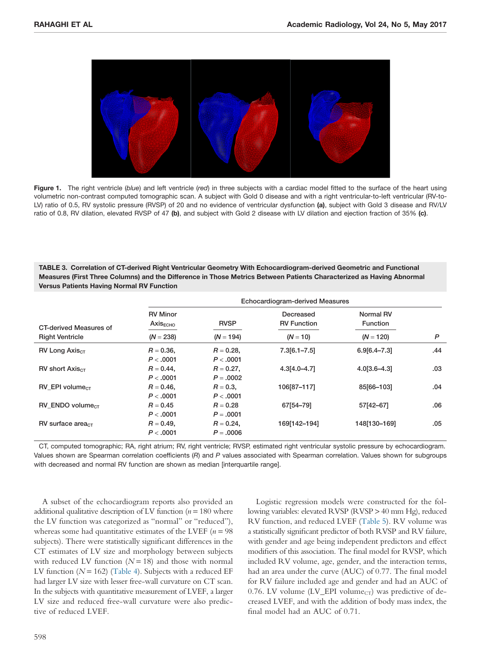

Figure 1. The right ventricle (blue) and left ventricle (red) in three subjects with a cardiac model fitted to the surface of the heart using volumetric non-contrast computed tomographic scan. A subject with Gold 0 disease and with a right ventricular-to-left ventricular (RV-to-LV) ratio of 0.5, RV systolic pressure (RVSP) of 20 and no evidence of ventricular dysfunction (a), subject with Gold 3 disease and RV/LV ratio of 0.8, RV dilation, elevated RVSP of 47 (b), and subject with Gold 2 disease with LV dilation and ejection fraction of 35% (c).

TABLE 3. Correlation of CT-derived Right Ventricular Geometry With Echocardiogram-derived Geometric and Functional Measures (First Three Columns) and the Difference in Those Metrics Between Patients Characterized as Having Abnormal Versus Patients Having Normal RV Function

|                                | Echocardiogram-derived Measures         |                             |                                 |                              |     |
|--------------------------------|-----------------------------------------|-----------------------------|---------------------------------|------------------------------|-----|
| CT-derived Measures of         | <b>RV Minor</b><br>Axis <sub>ECHO</sub> | <b>RVSP</b>                 | Decreased<br><b>RV Function</b> | Normal RV<br><b>Function</b> |     |
| <b>Right Ventricle</b>         | $(N = 238)$                             | $(N = 194)$                 | $(N = 10)$                      | $(N = 120)$                  | P   |
| $RV$ Long Axis $_{CT}$         | $R = 0.36$<br>P < .0001                 | $R = 0.28$<br>P < .0001     | $7.3[6.1 - 7.5]$                | $6.9[6.4 - 7.3]$             | .44 |
| $RV$ short Axis $_{CT}$        | $R = 0.44$ ,<br>P < .0001               | $R = 0.27$ ,<br>$P = .0002$ | $4.3[4.0 - 4.7]$                | $4.0[3.6 - 4.3]$             | .03 |
| RV EPI volume <sub>CT</sub>    | $R = 0.46$ .<br>P < .0001               | $R = 0.3$ .<br>P < .0001    | 106[87-117]                     | 85[66-103]                   | .04 |
| $RV$ ENDO volume <sub>CT</sub> | $R = 0.45$<br>P < .0001                 | $R = 0.28$<br>$P = .0001$   | 67[54-79]                       | 57[42-67]                    | .06 |
| $RV$ surface area $cr$         | $R = 0.49$ .<br>P < .0001               | $R = 0.24$ .<br>$P = .0006$ | 169[142-194]                    | 148[130-169]                 | .05 |

CT, computed tomographic; RA, right atrium; RV, right ventricle; RVSP, estimated right ventricular systolic pressure by echocardiogram. Values shown are Spearman correlation coefficients (R) and P values associated with Spearman correlation. Values shown for subgroups with decreased and normal RV function are shown as median [interquartile range].

A subset of the echocardiogram reports also provided an additional qualitative description of LV function  $(n = 180)$  where the LV function was categorized as "normal" or "reduced"), whereas some had quantitative estimates of the LVEF (*n* = 98 subjects). There were statistically significant differences in the CT estimates of LV size and morphology between subjects with reduced LV function  $(N = 18)$  and those with normal LV function (*N* = 162) (Table 4). Subjects with a reduced EF had larger LV size with lesser free-wall curvature on CT scan. In the subjects with quantitative measurement of LVEF, a larger LV size and reduced free-wall curvature were also predictive of reduced LVEF.

Logistic regression models were constructed for the following variables: elevated RVSP (RVSP > 40 mm Hg), reduced RV function, and reduced LVEF (Table 5). RV volume was a statistically significant predictor of both RVSP and RV failure, with gender and age being independent predictors and effect modifiers of this association. The final model for RVSP, which included RV volume, age, gender, and the interaction terms, had an area under the curve (AUC) of 0.77. The final model for RV failure included age and gender and had an AUC of 0.76. LV volume (LV\_EPI volume<sub>CT</sub>) was predictive of decreased LVEF, and with the addition of body mass index, the final model had an AUC of 0.71.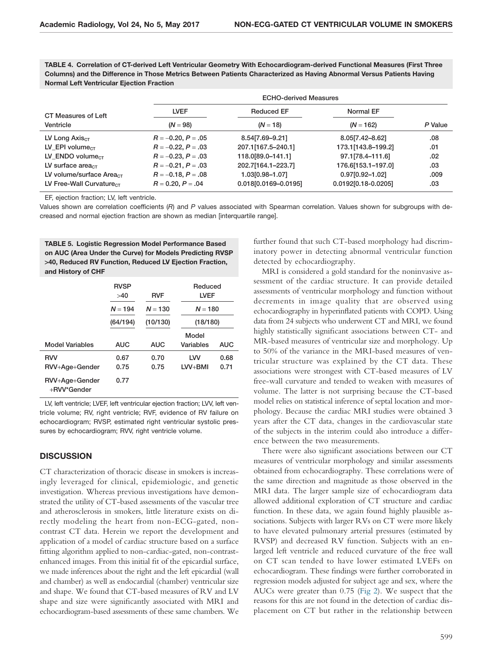TABLE 4. Correlation of CT-derived Left Ventricular Geometry With Echocardiogram-derived Functional Measures (First Three Columns) and the Difference in Those Metrics Between Patients Characterized as Having Abnormal Versus Patients Having Normal Left Ventricular Ejection Fraction

|                                      |                         | <b>ECHO-derived Measures</b> |                     |         |  |
|--------------------------------------|-------------------------|------------------------------|---------------------|---------|--|
| CT Measures of Left                  | <b>LVEF</b>             | <b>Reduced EF</b>            | Normal EF           |         |  |
| Ventricle                            | $(N = 98)$              | $(N = 18)$                   | $(N = 162)$         | P Value |  |
| LV Long $Axis_{CT}$                  | $R = -0.20, P = .05$    | 8.54 7.69 - 9.21]            | 8.05 7.42 - 8.62    | .08     |  |
| LV EPI volume $_{CT}$                | $R = -0.22, P = .03$    | 207.1[167.5-240.1]           | 173.1[143.8-199.2]  | .01     |  |
| LV ENDO volume $cr$                  | $R = -0.23$ , $P = .03$ | 118.0[89.0-141.1]            | 97.1[78.4-111.6]    | .02     |  |
| LV surface area $_{CT}$              | $R = -0.21, P = .03$    | 202.7[164.1-223.7]           | 176.6[153.1-197.0]  | .03     |  |
| LV volume/surface Area $_{CT}$       | $R = -0.18, P = .08$    | 1.03[0.98-1.07]              | $0.97[0.92 - 1.02]$ | .009    |  |
| LV Free-Wall Curvature <sub>CT</sub> | $R = 0.20, P = .04$     | 0.018[0.0169-0.0195]         | 0.0192[0.18-0.0205] | .03     |  |

EF, ejection fraction; LV, left ventricle.

Values shown are correlation coefficients (R) and P values associated with Spearman correlation. Values shown for subgroups with decreased and normal ejection fraction are shown as median [interquartile range].

TABLE 5. Logistic Regression Model Performance Based on AUC (Area Under the Curve) for Models Predicting RVSP **>**40, Reduced RV Function, Reduced LV Ejection Fraction, and History of CHF

|                               | <b>RVSP</b><br>>40 | <b>RVF</b> | Reduced<br><b>LVEF</b> |      |
|-------------------------------|--------------------|------------|------------------------|------|
|                               | $N = 194$          | $N = 130$  | $N = 180$              |      |
|                               | (64/194)           | (10/130)   | (18/180)               |      |
|                               |                    |            | Model                  |      |
| <b>Model Variables</b>        | <b>AUC</b>         | <b>AUC</b> | Variables              | AUC  |
| <b>RVV</b>                    | 0.67               | 0.70       | LVV                    | 0.68 |
| RVV+Age+Gender                | 0.75               | 0.75       | $LVV + BMI$            | 0.71 |
| RVV+Age+Gender<br>+RVV*Gender | 0.77               |            |                        |      |

LV, left ventricle; LVEF, left ventricular ejection fraction; LVV, left ventricle volume; RV, right ventricle; RVF, evidence of RV failure on echocardiogram; RVSP, estimated right ventricular systolic pressures by echocardiogram; RVV, right ventricle volume.

## **DISCUSSION**

CT characterization of thoracic disease in smokers is increasingly leveraged for clinical, epidemiologic, and genetic investigation. Whereas previous investigations have demonstrated the utility of CT-based assessments of the vascular tree and atherosclerosis in smokers, little literature exists on directly modeling the heart from non-ECG-gated, noncontrast CT data. Herein we report the development and application of a model of cardiac structure based on a surface fitting algorithm applied to non-cardiac-gated, non-contrastenhanced images. From this initial fit of the epicardial surface, we made inferences about the right and the left epicardial (wall and chamber) as well as endocardial (chamber) ventricular size and shape. We found that CT-based measures of RV and LV shape and size were significantly associated with MRI and echocardiogram-based assessments of these same chambers. We further found that such CT-based morphology had discriminatory power in detecting abnormal ventricular function detected by echocardiography.

MRI is considered a gold standard for the noninvasive assessment of the cardiac structure. It can provide detailed assessments of ventricular morphology and function without decrements in image quality that are observed using echocardiography in hyperinflated patients with COPD. Using data from 24 subjects who underwent CT and MRI, we found highly statistically significant associations between CT- and MR-based measures of ventricular size and morphology. Up to 50% of the variance in the MRI-based measures of ventricular structure was explained by the CT data. These associations were strongest with CT-based measures of LV free-wall curvature and tended to weaken with measures of volume. The latter is not surprising because the CT-based model relies on statistical inference of septal location and morphology. Because the cardiac MRI studies were obtained 3 years after the CT data, changes in the cardiovascular state of the subjects in the interim could also introduce a difference between the two measurements.

There were also significant associations between our CT measures of ventricular morphology and similar assessments obtained from echocardiography. These correlations were of the same direction and magnitude as those observed in the MRI data. The larger sample size of echocardiogram data allowed additional exploration of CT structure and cardiac function. In these data, we again found highly plausible associations. Subjects with larger RVs on CT were more likely to have elevated pulmonary arterial pressures (estimated by RVSP) and decreased RV function. Subjects with an enlarged left ventricle and reduced curvature of the free wall on CT scan tended to have lower estimated LVEFs on echocardiogram. These findings were further corroborated in regression models adjusted for subject age and sex, where the AUCs were greater than 0.75 (Fig 2). We suspect that the reasons for this are not found in the detection of cardiac displacement on CT but rather in the relationship between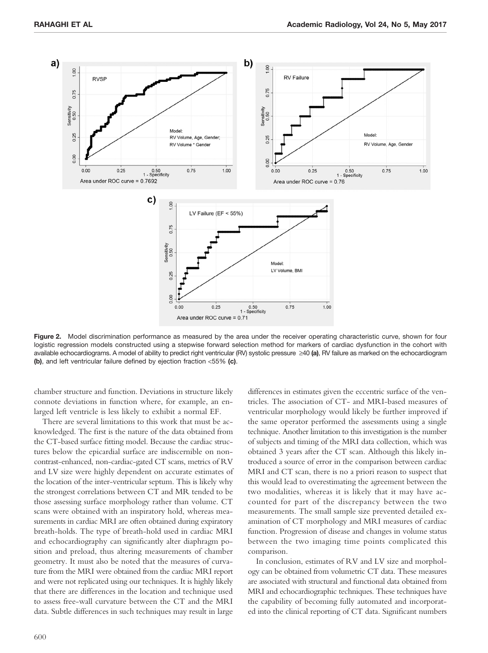

Figure 2. Model discrimination performance as measured by the area under the receiver operating characteristic curve, shown for four logistic regression models constructed using a stepwise forward selection method for markers of cardiac dysfunction in the cohort with available echocardiograms. A model of ability to predict right ventricular (RV) systolic pressure ≥40 (a), RV failure as marked on the echocardiogram (b), and left ventricular failure defined by ejection fraction <55% (c).

chamber structure and function. Deviations in structure likely connote deviations in function where, for example, an enlarged left ventricle is less likely to exhibit a normal EF.

There are several limitations to this work that must be acknowledged. The first is the nature of the data obtained from the CT-based surface fitting model. Because the cardiac structures below the epicardial surface are indiscernible on noncontrast-enhanced, non-cardiac-gated CT scans, metrics of RV and LV size were highly dependent on accurate estimates of the location of the inter-ventricular septum. This is likely why the strongest correlations between CT and MR tended to be those assessing surface morphology rather than volume. CT scans were obtained with an inspiratory hold, whereas measurements in cardiac MRI are often obtained during expiratory breath-holds. The type of breath-hold used in cardiac MRI and echocardiography can significantly alter diaphragm position and preload, thus altering measurements of chamber geometry. It must also be noted that the measures of curvature from the MRI were obtained from the cardiac MRI report and were not replicated using our techniques. It is highly likely that there are differences in the location and technique used to assess free-wall curvature between the CT and the MRI data. Subtle differences in such techniques may result in large

differences in estimates given the eccentric surface of the ventricles. The association of CT- and MRI-based measures of ventricular morphology would likely be further improved if the same operator performed the assessments using a single technique. Another limitation to this investigation is the number of subjects and timing of the MRI data collection, which was obtained 3 years after the CT scan. Although this likely introduced a source of error in the comparison between cardiac MRI and CT scan, there is no a priori reason to suspect that this would lead to overestimating the agreement between the two modalities, whereas it is likely that it may have accounted for part of the discrepancy between the two measurements. The small sample size prevented detailed examination of CT morphology and MRI measures of cardiac function. Progression of disease and changes in volume status between the two imaging time points complicated this comparison.

In conclusion, estimates of RV and LV size and morphology can be obtained from volumetric CT data. These measures are associated with structural and functional data obtained from MRI and echocardiographic techniques. These techniques have the capability of becoming fully automated and incorporated into the clinical reporting of CT data. Significant numbers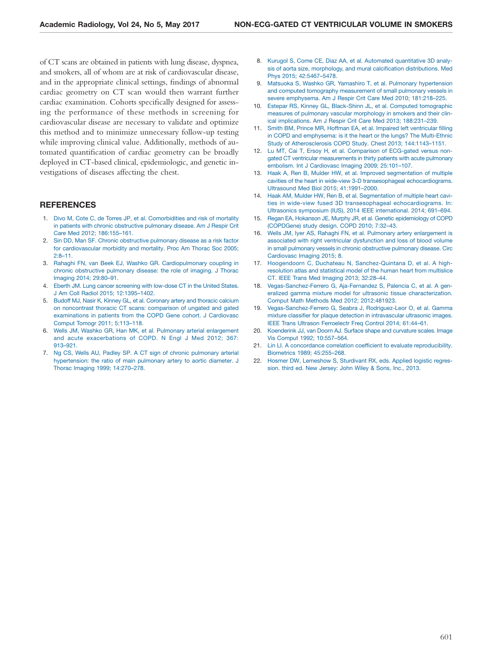of CT scans are obtained in patients with lung disease, dyspnea, and smokers, all of whom are at risk of cardiovascular disease, and in the appropriate clinical settings, findings of abnormal cardiac geometry on CT scan would then warrant further cardiac examination. Cohorts specifically designed for assessing the performance of these methods in screening for cardiovascular disease are necessary to validate and optimize this method and to minimize unnecessary follow-up testing while improving clinical value. Additionally, methods of automated quantification of cardiac geometry can be broadly deployed in CT-based clinical, epidemiologic, and genetic investigations of diseases affecting the chest.

## **REFERENCES**

- 1. [Divo M, Cote C, de Torres JP, et al. Comorbidities and risk of mortality](http://refhub.elsevier.com/S1076-6332(17)30008-9/sr0010) [in patients with chronic obstructive pulmonary disease. Am J Respir Crit](http://refhub.elsevier.com/S1076-6332(17)30008-9/sr0010) [Care Med 2012; 186:155–161.](http://refhub.elsevier.com/S1076-6332(17)30008-9/sr0010)
- 2. [Sin DD, Man SF. Chronic obstructive pulmonary disease as a risk factor](http://refhub.elsevier.com/S1076-6332(17)30008-9/sr0015) [for cardiovascular morbidity and mortality. Proc Am Thorac Soc 2005;](http://refhub.elsevier.com/S1076-6332(17)30008-9/sr0015) [2:8–11.](http://refhub.elsevier.com/S1076-6332(17)30008-9/sr0015)
- 3. [Rahaghi FN, van Beek EJ, Washko GR. Cardiopulmonary coupling in](http://refhub.elsevier.com/S1076-6332(17)30008-9/sr0020) [chronic obstructive pulmonary disease: the role of imaging. J Thorac](http://refhub.elsevier.com/S1076-6332(17)30008-9/sr0020) [Imaging 2014; 29:80–91.](http://refhub.elsevier.com/S1076-6332(17)30008-9/sr0020)
- 4. [Eberth JM. Lung cancer screening with low-dose CT in the United States.](http://refhub.elsevier.com/S1076-6332(17)30008-9/sr0025) [J Am Coll Radiol 2015; 12:1395–1402.](http://refhub.elsevier.com/S1076-6332(17)30008-9/sr0025)
- 5. [Budoff MJ, Nasir K, Kinney GL, et al. Coronary artery and thoracic calcium](http://refhub.elsevier.com/S1076-6332(17)30008-9/sr0030) [on noncontrast thoracic CT scans: comparison of ungated and gated](http://refhub.elsevier.com/S1076-6332(17)30008-9/sr0030) [examinations in patients from the COPD Gene cohort. J Cardiovasc](http://refhub.elsevier.com/S1076-6332(17)30008-9/sr0030) [Comput Tomogr 2011; 5:113–118.](http://refhub.elsevier.com/S1076-6332(17)30008-9/sr0030)
- 6. [Wells JM, Washko GR, Han MK, et al. Pulmonary arterial enlargement](http://refhub.elsevier.com/S1076-6332(17)30008-9/sr0035) [and acute exacerbations of COPD. N Engl J Med 2012; 367:](http://refhub.elsevier.com/S1076-6332(17)30008-9/sr0035) [913–921.](http://refhub.elsevier.com/S1076-6332(17)30008-9/sr0035)
- 7. [Ng CS, Wells AU, Padley SP. A CT sign of chronic pulmonary arterial](http://refhub.elsevier.com/S1076-6332(17)30008-9/sr0040) [hypertension: the ratio of main pulmonary artery to aortic diameter. J](http://refhub.elsevier.com/S1076-6332(17)30008-9/sr0040) [Thorac Imaging 1999; 14:270–278.](http://refhub.elsevier.com/S1076-6332(17)30008-9/sr0040)
- 8. [Kurugol S, Come CE, Diaz AA, et al. Automated quantitative 3D analy](http://refhub.elsevier.com/S1076-6332(17)30008-9/sr0045)[sis of aorta size, morphology, and mural calcification distributions. Med](http://refhub.elsevier.com/S1076-6332(17)30008-9/sr0045) [Phys 2015; 42:5467–5478.](http://refhub.elsevier.com/S1076-6332(17)30008-9/sr0045)
- 9. [Matsuoka S, Washko GR, Yamashiro T, et al. Pulmonary hypertension](http://refhub.elsevier.com/S1076-6332(17)30008-9/sr0050) [and computed tomography measurement of small pulmonary vessels in](http://refhub.elsevier.com/S1076-6332(17)30008-9/sr0050) [severe emphysema. Am J Respir Crit Care Med 2010; 181:218–225.](http://refhub.elsevier.com/S1076-6332(17)30008-9/sr0050)
- 10. [Estepar RS, Kinney GL, Black-Shinn JL, et al. Computed tomographic](http://refhub.elsevier.com/S1076-6332(17)30008-9/sr0055) [measures of pulmonary vascular morphology in smokers and their clin](http://refhub.elsevier.com/S1076-6332(17)30008-9/sr0055)[ical implications. Am J Respir Crit Care Med 2013; 188:231–239.](http://refhub.elsevier.com/S1076-6332(17)30008-9/sr0055)
- 11. [Smith BM, Prince MR, Hoffman EA, et al. Impaired left ventricular filling](http://refhub.elsevier.com/S1076-6332(17)30008-9/sr0060) [in COPD and emphysema: is it the heart or the lungs? The Multi-Ethnic](http://refhub.elsevier.com/S1076-6332(17)30008-9/sr0060) [Study of Atherosclerosis COPD Study. Chest 2013; 144:1143–1151.](http://refhub.elsevier.com/S1076-6332(17)30008-9/sr0060)
- 12. [Lu MT, Cai T, Ersoy H, et al. Comparison of ECG-gated versus non](http://refhub.elsevier.com/S1076-6332(17)30008-9/sr0065)[gated CT ventricular measurements in thirty patients with acute pulmonary](http://refhub.elsevier.com/S1076-6332(17)30008-9/sr0065) [embolism. Int J Cardiovasc Imaging 2009; 25:101–107.](http://refhub.elsevier.com/S1076-6332(17)30008-9/sr0065)
- 13. [Haak A, Ren B, Mulder HW, et al. Improved segmentation of multiple](http://refhub.elsevier.com/S1076-6332(17)30008-9/sr0070) [cavities of the heart in wide-view 3-D transesophageal echocardiograms.](http://refhub.elsevier.com/S1076-6332(17)30008-9/sr0070) [Ultrasound Med Biol 2015; 41:1991–2000.](http://refhub.elsevier.com/S1076-6332(17)30008-9/sr0070)
- 14. [Haak AM, Mulder HW, Ren B, et al. Segmentation of multiple heart cavi](http://refhub.elsevier.com/S1076-6332(17)30008-9/sr0075)[ties in wide-view fused 3D transesophageal echocardiograms. In:](http://refhub.elsevier.com/S1076-6332(17)30008-9/sr0075) [Ultrasonics symposium \(IUS\), 2014 IEEE international. 2014; 691–694.](http://refhub.elsevier.com/S1076-6332(17)30008-9/sr0075)
- 15. [Regan EA, Hokanson JE, Murphy JR, et al. Genetic epidemiology of COPD](http://refhub.elsevier.com/S1076-6332(17)30008-9/sr0080) [\(COPDGene\) study design. COPD 2010; 7:32–43.](http://refhub.elsevier.com/S1076-6332(17)30008-9/sr0080)
- 16. [Wells JM, Iyer AS, Rahaghi FN, et al. Pulmonary artery enlargement is](http://refhub.elsevier.com/S1076-6332(17)30008-9/sr0085) [associated with right ventricular dysfunction and loss of blood volume](http://refhub.elsevier.com/S1076-6332(17)30008-9/sr0085) [in small pulmonary vessels in chronic obstructive pulmonary disease. Circ](http://refhub.elsevier.com/S1076-6332(17)30008-9/sr0085) [Cardiovasc Imaging 2015; 8.](http://refhub.elsevier.com/S1076-6332(17)30008-9/sr0085)
- 17. [Hoogendoorn C, Duchateau N, Sanchez-Quintana D, et al. A high](http://refhub.elsevier.com/S1076-6332(17)30008-9/sr0090)[resolution atlas and statistical model of the human heart from multislice](http://refhub.elsevier.com/S1076-6332(17)30008-9/sr0090) [CT. IEEE Trans Med Imaging 2013; 32:28–44.](http://refhub.elsevier.com/S1076-6332(17)30008-9/sr0090)
- 18. [Vegas-Sanchez-Ferrero G, Aja-Fernandez S, Palencia C, et al. A gen](http://refhub.elsevier.com/S1076-6332(17)30008-9/sr0095)[eralized gamma mixture model for ultrasonic tissue characterization.](http://refhub.elsevier.com/S1076-6332(17)30008-9/sr0095) [Comput Math Methods Med 2012; 2012:481923.](http://refhub.elsevier.com/S1076-6332(17)30008-9/sr0095)
- 19. [Vegas-Sanchez-Ferrero G, Seabra J, Rodriguez-Leor O, et al. Gamma](http://refhub.elsevier.com/S1076-6332(17)30008-9/sr0100) [mixture classifier for plaque detection in intravascular ultrasonic images.](http://refhub.elsevier.com/S1076-6332(17)30008-9/sr0100) [IEEE Trans Ultrason Ferroelectr Freq Control 2014; 61:44–61.](http://refhub.elsevier.com/S1076-6332(17)30008-9/sr0100)
- 20. [Koenderink JJ, van Doorn AJ. Surface shape and curvature scales. Image](http://refhub.elsevier.com/S1076-6332(17)30008-9/sr0105) [Vis Comput 1992; 10:557–564.](http://refhub.elsevier.com/S1076-6332(17)30008-9/sr0105)
- 21. [Lin LI. A concordance correlation coefficient to evaluate reproducibility.](http://refhub.elsevier.com/S1076-6332(17)30008-9/sr0110) [Biometrics 1989; 45:255–268.](http://refhub.elsevier.com/S1076-6332(17)30008-9/sr0110)
- 22. [Hosmer DW, Lemeshow S, Sturdivant RX, eds. Applied logistic regres](http://refhub.elsevier.com/S1076-6332(17)30008-9/sr0115)[sion. third ed. New Jersey: John Wiley & Sons, Inc., 2013.](http://refhub.elsevier.com/S1076-6332(17)30008-9/sr0115)